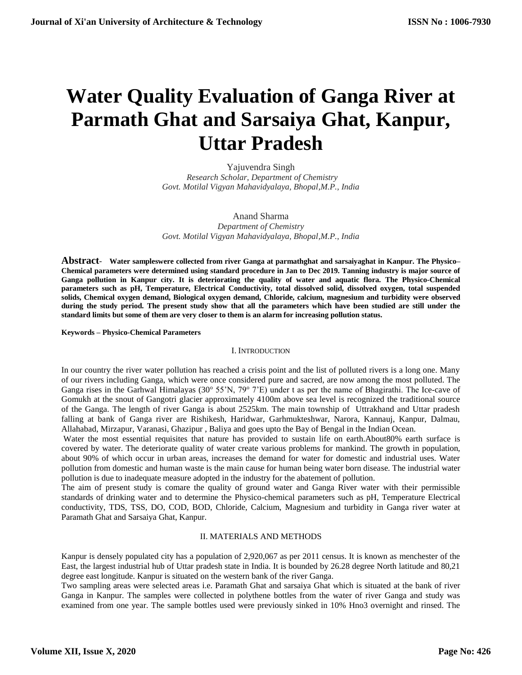# **Water Quality Evaluation of Ganga River at Parmath Ghat and Sarsaiya Ghat, Kanpur, Uttar Pradesh**

Yajuvendra Singh  *Research Scholar, Department of Chemistry Govt. Motilal Vigyan Mahavidyalaya, Bhopal,M.P., India*

Anand Sharma *Department of Chemistry Govt. Motilal Vigyan Mahavidyalaya, Bhopal,M.P., India*

**Abstract**- **Water sampleswere collected from river Ganga at parmathghat and sarsaiyaghat in Kanpur. The Physico– Chemical parameters were determined using standard procedure in Jan to Dec 2019. Tanning industry is major source of Ganga pollution in Kanpur city. It is deteriorating the quality of water and aquatic flora. The Physico-Chemical parameters such as pH, Temperature, Electrical Conductivity, total dissolved solid, dissolved oxygen, total suspended solids, Chemical oxygen demand, Biological oxygen demand, Chloride, calcium, magnesium and turbidity were observed during the study period. The present study show that all the parameters which have been studied are still under the standard limits but some of them are very closer to them is an alarm for increasing pollution status.** 

**Keywords – Physico-Chemical Parameters**

#### I. INTRODUCTION

In our country the river water pollution has reached a crisis point and the list of polluted rivers is a long one. Many of our rivers including Ganga, which were once considered pure and sacred, are now among the most polluted. The Ganga rises in the Garhwal Himalayas (30° 55'N, 79° 7'E) under t as per the name of Bhagirathi. The Ice-cave of Gomukh at the snout of Gangotri glacier approximately 4100m above sea level is recognized the traditional source of the Ganga. The length of river Ganga is about 2525km. The main township of Uttrakhand and Uttar pradesh falling at bank of Ganga river are Rishikesh, Haridwar, Garhmukteshwar, Narora, Kannauj, Kanpur, Dalmau, Allahabad, Mirzapur, Varanasi, Ghazipur , Baliya and goes upto the Bay of Bengal in the Indian Ocean.

Water the most essential requisites that nature has provided to sustain life on earth.About80% earth surface is covered by water. The deteriorate quality of water create various problems for mankind. The growth in population, about 90% of which occur in urban areas, increases the demand for water for domestic and industrial uses. Water pollution from domestic and human waste is the main cause for human being water born disease. The industrial water pollution is due to inadequate measure adopted in the industry for the abatement of pollution.

The aim of present study is comare the quality of ground water and Ganga River water with their permissible standards of drinking water and to determine the Physico-chemical parameters such as pH, Temperature Electrical conductivity, TDS, TSS, DO, COD, BOD, Chloride, Calcium, Magnesium and turbidity in Ganga river water at Paramath Ghat and Sarsaiya Ghat, Kanpur.

# II. MATERIALS AND METHODS

Kanpur is densely populated city has a population of 2,920,067 as per 2011 census. It is known as menchester of the East, the largest industrial hub of Uttar pradesh state in India. It is bounded by 26.28 degree North latitude and 80,21 degree east longitude. Kanpur is situated on the western bank of the river Ganga.

Two sampling areas were selected areas i.e. Paramath Ghat and sarsaiya Ghat which is situated at the bank of river Ganga in Kanpur. The samples were collected in polythene bottles from the water of river Ganga and study was examined from one year. The sample bottles used were previously sinked in 10% Hno3 overnight and rinsed. The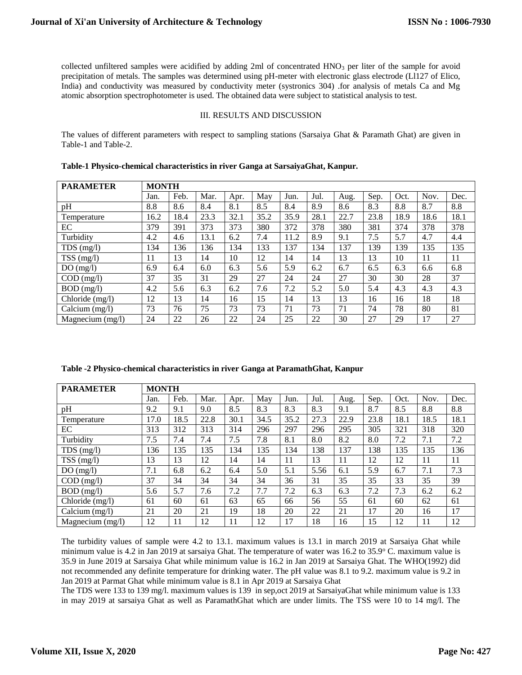collected unfiltered samples were acidified by adding 2ml of concentrated HNO<sub>3</sub> per liter of the sample for avoid precipitation of metals. The samples was determined using pH-meter with electronic glass electrode (Ll127 of Elico, India) and conductivity was measured by conductivity meter (systronics 304) .for analysis of metals Ca and Mg atomic absorption spectrophotometer is used. The obtained data were subject to statistical analysis to test.

# III. RESULTS AND DISCUSSION

The values of different parameters with respect to sampling stations (Sarsaiya Ghat & Paramath Ghat) are given in Table-1 and Table-2.

| <b>PARAMETER</b>   | <b>MONTH</b> |      |      |      |      |      |      |      |      |      |      |      |
|--------------------|--------------|------|------|------|------|------|------|------|------|------|------|------|
|                    | Jan.         | Feb. | Mar. | Apr. | May  | Jun. | Jul. | Aug. | Sep. | Oct. | Nov. | Dec. |
| pH                 | 8.8          | 8.6  | 8.4  | 8.1  | 8.5  | 8.4  | 8.9  | 8.6  | 8.3  | 8.8  | 8.7  | 8.8  |
| Temperature        | 16.2         | 18.4 | 23.3 | 32.1 | 35.2 | 35.9 | 28.1 | 22.7 | 23.8 | 18.9 | 18.6 | 18.1 |
| EC                 | 379          | 391  | 373  | 373  | 380  | 372  | 378  | 380  | 381  | 374  | 378  | 378  |
| Turbidity          | 4.2          | 4.6  | 13.1 | 6.2  | 7.4  | 11.2 | 8.9  | 9.1  | 7.5  | 5.7  | 4.7  | 4.4  |
| $TDS$ (mg/l)       | 134          | 136  | 136  | 134  | 133  | 137  | 134  | 137  | 139  | 139  | 135  | 135  |
| $TSS$ (mg/l)       | 11           | 13   | 14   | 10   | 12   | 14   | 14   | 13   | 13   | 10   | 11   | 11   |
| DO(mg/l)           | 6.9          | 6.4  | 6.0  | 6.3  | 5.6  | 5.9  | 6.2  | 6.7  | 6.5  | 6.3  | 6.6  | 6.8  |
| $COD$ (mg/l)       | 37           | 35   | 31   | 29   | 27   | 24   | 24   | 27   | 30   | 30   | 28   | 37   |
| $BOD$ (mg/l)       | 4.2          | 5.6  | 6.3  | 6.2  | 7.6  | 7.2  | 5.2  | 5.0  | 5.4  | 4.3  | 4.3  | 4.3  |
| Chloride (mg/l)    | 12           | 13   | 14   | 16   | 15   | 14   | 13   | 13   | 16   | 16   | 18   | 18   |
| Calcium $(mg/l)$   | 73           | 76   | 75   | 73   | 73   | 71   | 73   | 71   | 74   | 78   | 80   | 81   |
| Magnecium $(mg/l)$ | 24           | 22   | 26   | 22   | 24   | 25   | 22   | 30   | 27   | 29   | 17   | 27   |

## **Table-1 Physico-chemical characteristics in river Ganga at SarsaiyaGhat, Kanpur.**

|  |  | Table -2 Physico-chemical characteristics in river Ganga at ParamathGhat, Kanpur |
|--|--|----------------------------------------------------------------------------------|
|  |  |                                                                                  |

| <b>PARAMETER</b>   | <b>MONTH</b> |      |      |      |      |      |      |      |      |      |      |      |
|--------------------|--------------|------|------|------|------|------|------|------|------|------|------|------|
|                    | Jan.         | Feb. | Mar. | Apr. | May  | Jun. | Jul. | Aug. | Sep. | Oct. | Nov. | Dec. |
| pH                 | 9.2          | 9.1  | 9.0  | 8.5  | 8.3  | 8.3  | 8.3  | 9.1  | 8.7  | 8.5  | 8.8  | 8.8  |
| Temperature        | 17.0         | 18.5 | 22.8 | 30.1 | 34.5 | 35.2 | 27.3 | 22.9 | 23.8 | 18.1 | 18.5 | 18.1 |
| EC                 | 313          | 312  | 313  | 314  | 296  | 297  | 296  | 295  | 305  | 321  | 318  | 320  |
| Turbidity          | 7.5          | 7.4  | 7.4  | 7.5  | 7.8  | 8.1  | 8.0  | 8.2  | 8.0  | 7.2  | 7.1  | 7.2  |
| $TDS$ (mg/l)       | 136          | 135  | 135  | 134  | 135  | 134  | 138  | 137  | 138  | 135  | 135  | 136  |
| $TSS$ (mg/l)       | 13           | 13   | 12   | 14   | 14   | 11   | 13   | 11   | 12   | 12   | 11   | 11   |
| DO(mg/l)           | 7.1          | 6.8  | 6.2  | 6.4  | 5.0  | 5.1  | 5.56 | 6.1  | 5.9  | 6.7  | 7.1  | 7.3  |
| $COD$ (mg/l)       | 37           | 34   | 34   | 34   | 34   | 36   | 31   | 35   | 35   | 33   | 35   | 39   |
| $BOD$ (mg/l)       | 5.6          | 5.7  | 7.6  | 7.2  | 7.7  | 7.2  | 6.3  | 6.3  | 7.2  | 7.3  | 6.2  | 6.2  |
| Chloride (mg/l)    | 61           | 60   | 61   | 63   | 65   | 66   | 56   | 55   | 61   | 60   | 62   | 61   |
| Calcium $(mg/l)$   | 21           | 20   | 21   | 19   | 18   | 20   | 22   | 21   | 17   | 20   | 16   | 17   |
| Magnecium $(mg/l)$ | 12           | 11   | 12   | 11   | 12   | 17   | 18   | 16   | 15   | 12   | 11   | 12   |

The turbidity values of sample were 4.2 to 13.1. maximum values is 13.1 in march 2019 at Sarsaiya Ghat while minimum value is 4.2 in Jan 2019 at sarsaiya Ghat. The temperature of water was 16.2 to 35.9° C. maximum value is 35.9 in June 2019 at Sarsaiya Ghat while minimum value is 16.2 in Jan 2019 at Sarsaiya Ghat. The WHO(1992) did not recommended any definite temperature for drinking water. The pH value was 8.1 to 9.2. maximum value is 9.2 in Jan 2019 at Parmat Ghat while minimum value is 8.1 in Apr 2019 at Sarsaiya Ghat

The TDS were 133 to 139 mg/l. maximum values is 139 in sep,oct 2019 at SarsaiyaGhat while minimum value is 133 in may 2019 at sarsaiya Ghat as well as ParamathGhat which are under limits. The TSS were 10 to 14 mg/l. The